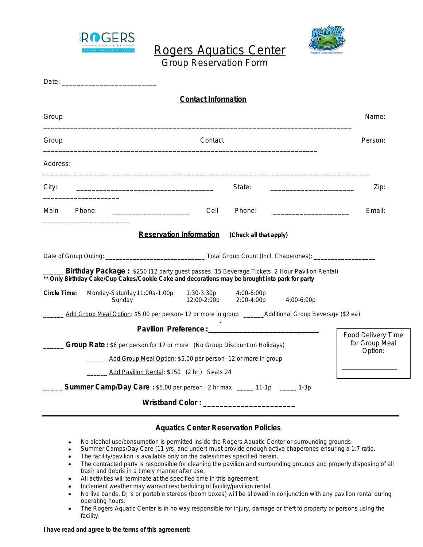

 Rogers Aquatics Center Group Reservation Form



Date: \_\_\_\_\_\_\_\_\_\_\_\_\_\_\_\_\_\_\_\_\_\_\_\_\_ **Contact Information** Group Name: \_\_\_\_\_\_\_\_\_\_\_\_\_\_\_\_\_\_\_\_\_\_\_\_\_\_\_\_\_\_\_\_\_\_\_\_\_\_\_\_\_\_\_\_\_\_\_\_\_\_\_\_\_\_\_\_\_\_\_\_\_\_\_\_\_\_\_\_\_\_\_\_\_\_\_\_\_\_\_\_\_ Group **Contact Contact Contact Contact Contact** Person: \_\_\_\_\_\_\_\_\_\_\_\_\_\_\_\_\_\_\_\_\_\_\_\_\_\_\_\_\_\_\_\_\_\_\_\_\_\_\_\_\_\_\_\_\_\_\_\_\_\_\_\_\_\_\_\_\_\_\_\_\_\_\_\_\_\_\_\_\_\_\_\_ Address: \_\_\_\_\_\_\_\_\_\_\_\_\_\_\_\_\_\_\_\_\_\_\_\_\_\_\_\_\_\_\_\_\_\_\_\_\_\_\_\_\_\_\_\_\_\_\_\_\_\_\_\_\_\_\_\_\_\_\_\_\_\_\_\_\_\_\_\_\_\_\_\_\_\_\_\_\_\_\_\_\_\_\_\_\_\_ City: \_\_\_\_\_\_\_\_\_\_\_\_\_\_\_\_\_\_\_\_\_\_\_\_\_\_\_\_\_\_\_\_\_\_\_\_ State: \_\_\_\_\_\_\_\_\_\_\_\_\_\_\_\_\_\_\_\_\_\_ Zip: \_\_\_\_\_\_\_\_\_\_\_\_\_\_\_\_\_\_\_\_ Main Phone:  $\Box$  Email:  $\Box$  Cell Phone:  $\Box$  Email: \_\_\_\_\_\_\_\_\_\_\_\_\_\_\_\_\_\_\_\_\_\_\_ **Reservation Information (Check all that apply)** Date of Group Outing: \_\_\_\_\_\_\_\_\_\_\_\_\_\_\_\_\_\_\_\_\_\_\_\_\_\_\_\_\_ Total Group Count (Incl. Chaperones): \_\_\_\_\_\_\_\_\_\_\_\_\_\_\_\_\_\_ \_\_\_\_\_\_ **Birthday Package :** \$250 (12 party guest passes, 15 Beverage Tickets, 2 Hour Pavilion Rental) **\*\* Only Birthday Cake/Cup Cakes/Cookie Cake and decorations may be brought into park for party** *Circle Time:* Monday-Saturday11:00a-1:00p 1:30-3:30p 4:00-6:00p Sunday 12:00-2:00p 2:00-4:00p 4:00-6:00p Add Group Meal Option: \$5.00 per person- 12 or more in group \_\_\_\_\_\_\_Additional Group Beverage (\$2 ea) **. Pavilion Preference: Group Rate** : \$6 per person for 12 or more (No Group Discount on Holidays) Add Group Meal Option: \$5.00 per person- 12 or more in group Add Pavilion Rental: \$150 (2 hr.) Seats 24 \_\_\_\_\_ **Summer Camp/Day Care :** \$5.00 per person – 2 hr max \_\_\_\_\_ 11-1p \_\_\_\_\_ 1-3p Food Delivery Time for Group Meal Option:  $\overline{\phantom{a}}$  , where  $\overline{\phantom{a}}$ 

**Wristband Color : \_\_\_\_\_\_\_\_\_\_\_\_\_\_\_\_\_\_\_\_\_\_**

## **Aquatics Center Reservation Policies**

- No alcohol use/consumption is permitted inside the Rogers Aquatic Center or surrounding grounds.
- Summer Camps/Day Care (11 yrs. and under) must provide enough active chaperones ensuring a 1:7 ratio.
- The facility/pavilion is available only on the dates/times specified herein.
- The contracted party is responsible for cleaning the pavilion and surrounding grounds and properly disposing of all trash and debris in a timely manner after use.
- All activities will terminate at the specified time in this agreement.
- Inclement weather may warrant rescheduling of facility/pavilion rental.
- No live bands, DJ's or portable stereos (boom boxes) will be allowed in conjunction with any pavilion rental during operating hours.
- The Rogers Aquatic Center is in no way responsible for injury, damage or theft to property or persons using the facility.

## **I have read and agree to the terms of this agreement:**